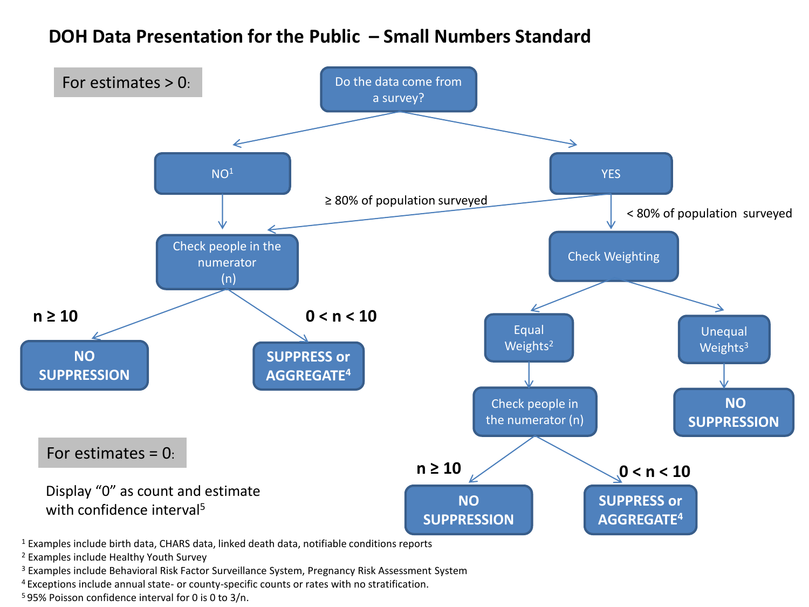## **DOH Data Presentation for the Public – Small Numbers Standard**



<sup>2</sup> Examples include Healthy Youth Survey

<sup>3</sup> Examples include Behavioral Risk Factor Surveillance System, Pregnancy Risk Assessment System

<sup>4</sup>Exceptions include annual state- or county-specific counts or rates with no stratification.

<sup>5</sup> 95% Poisson confidence interval for 0 is 0 to 3/n.